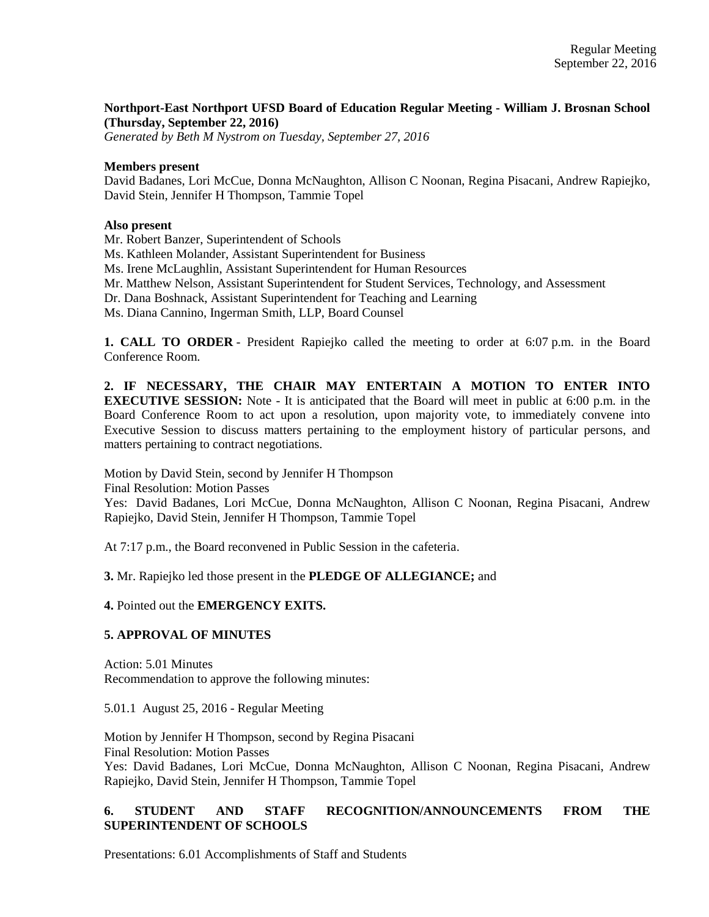# **Northport-East Northport UFSD Board of Education Regular Meeting - William J. Brosnan School (Thursday, September 22, 2016)**

*Generated by Beth M Nystrom on Tuesday, September 27, 2016* 

#### **Members present**

David Badanes, Lori McCue, Donna McNaughton, Allison C Noonan, Regina Pisacani, Andrew Rapiejko, David Stein, Jennifer H Thompson, Tammie Topel

#### **Also present**

Mr. Robert Banzer, Superintendent of Schools

Ms. Kathleen Molander, Assistant Superintendent for Business

Ms. Irene McLaughlin, Assistant Superintendent for Human Resources

Mr. Matthew Nelson, Assistant Superintendent for Student Services, Technology, and Assessment

Dr. Dana Boshnack, Assistant Superintendent for Teaching and Learning

Ms. Diana Cannino, Ingerman Smith, LLP, Board Counsel

**1. CALL TO ORDER** - President Rapiejko called the meeting to order at 6:07 p.m. in the Board Conference Room.

**2. IF NECESSARY, THE CHAIR MAY ENTERTAIN A MOTION TO ENTER INTO EXECUTIVE SESSION:** Note - It is anticipated that the Board will meet in public at 6:00 p.m. in the Board Conference Room to act upon a resolution, upon majority vote, to immediately convene into Executive Session to discuss matters pertaining to the employment history of particular persons, and matters pertaining to contract negotiations.

Motion by David Stein, second by Jennifer H Thompson

Final Resolution: Motion Passes

Yes: David Badanes, Lori McCue, Donna McNaughton, Allison C Noonan, Regina Pisacani, Andrew Rapiejko, David Stein, Jennifer H Thompson, Tammie Topel

At 7:17 p.m., the Board reconvened in Public Session in the cafeteria.

**3.** Mr. Rapiejko led those present in the **PLEDGE OF ALLEGIANCE;** and

**4.** Pointed out the **EMERGENCY EXITS.**

## **5. APPROVAL OF MINUTES**

Action: 5.01 Minutes Recommendation to approve the following minutes:

5.01.1 August 25, 2016 - Regular Meeting

Motion by Jennifer H Thompson, second by Regina Pisacani Final Resolution: Motion Passes Yes: David Badanes, Lori McCue, Donna McNaughton, Allison C Noonan, Regina Pisacani, Andrew Rapiejko, David Stein, Jennifer H Thompson, Tammie Topel

# **6. STUDENT AND STAFF RECOGNITION/ANNOUNCEMENTS FROM THE SUPERINTENDENT OF SCHOOLS**

Presentations: 6.01 Accomplishments of Staff and Students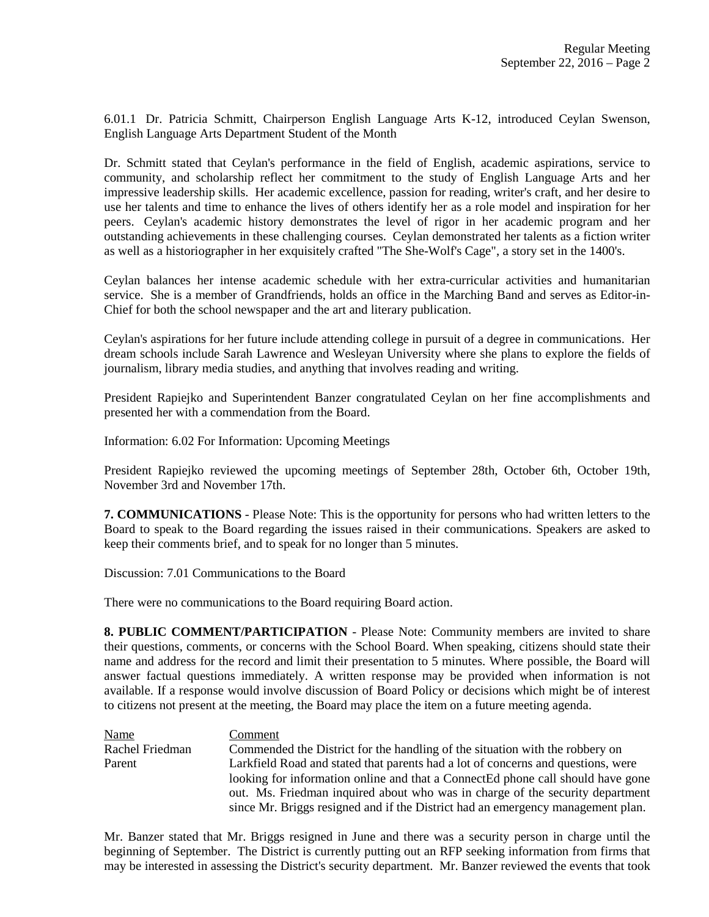6.01.1 Dr. Patricia Schmitt, Chairperson English Language Arts K-12, introduced Ceylan Swenson, English Language Arts Department Student of the Month

Dr. Schmitt stated that Ceylan's performance in the field of English, academic aspirations, service to community, and scholarship reflect her commitment to the study of English Language Arts and her impressive leadership skills. Her academic excellence, passion for reading, writer's craft, and her desire to use her talents and time to enhance the lives of others identify her as a role model and inspiration for her peers. Ceylan's academic history demonstrates the level of rigor in her academic program and her outstanding achievements in these challenging courses. Ceylan demonstrated her talents as a fiction writer as well as a historiographer in her exquisitely crafted "The She-Wolf's Cage", a story set in the 1400's.

Ceylan balances her intense academic schedule with her extra-curricular activities and humanitarian service. She is a member of Grandfriends, holds an office in the Marching Band and serves as Editor-in-Chief for both the school newspaper and the art and literary publication.

Ceylan's aspirations for her future include attending college in pursuit of a degree in communications. Her dream schools include Sarah Lawrence and Wesleyan University where she plans to explore the fields of journalism, library media studies, and anything that involves reading and writing.

President Rapiejko and Superintendent Banzer congratulated Ceylan on her fine accomplishments and presented her with a commendation from the Board.

Information: 6.02 For Information: Upcoming Meetings

President Rapiejko reviewed the upcoming meetings of September 28th, October 6th, October 19th, November 3rd and November 17th.

**7. COMMUNICATIONS** - Please Note: This is the opportunity for persons who had written letters to the Board to speak to the Board regarding the issues raised in their communications. Speakers are asked to keep their comments brief, and to speak for no longer than 5 minutes.

Discussion: 7.01 Communications to the Board

There were no communications to the Board requiring Board action.

**8. PUBLIC COMMENT/PARTICIPATION** - Please Note: Community members are invited to share their questions, comments, or concerns with the School Board. When speaking, citizens should state their name and address for the record and limit their presentation to 5 minutes. Where possible, the Board will answer factual questions immediately. A written response may be provided when information is not available. If a response would involve discussion of Board Policy or decisions which might be of interest to citizens not present at the meeting, the Board may place the item on a future meeting agenda.

Name Comment Rachel Friedman Commended the District for the handling of the situation with the robbery on Parent Larkfield Road and stated that parents had a lot of concerns and questions, were looking for information online and that a ConnectEd phone call should have gone out. Ms. Friedman inquired about who was in charge of the security department since Mr. Briggs resigned and if the District had an emergency management plan.

Mr. Banzer stated that Mr. Briggs resigned in June and there was a security person in charge until the beginning of September. The District is currently putting out an RFP seeking information from firms that may be interested in assessing the District's security department. Mr. Banzer reviewed the events that took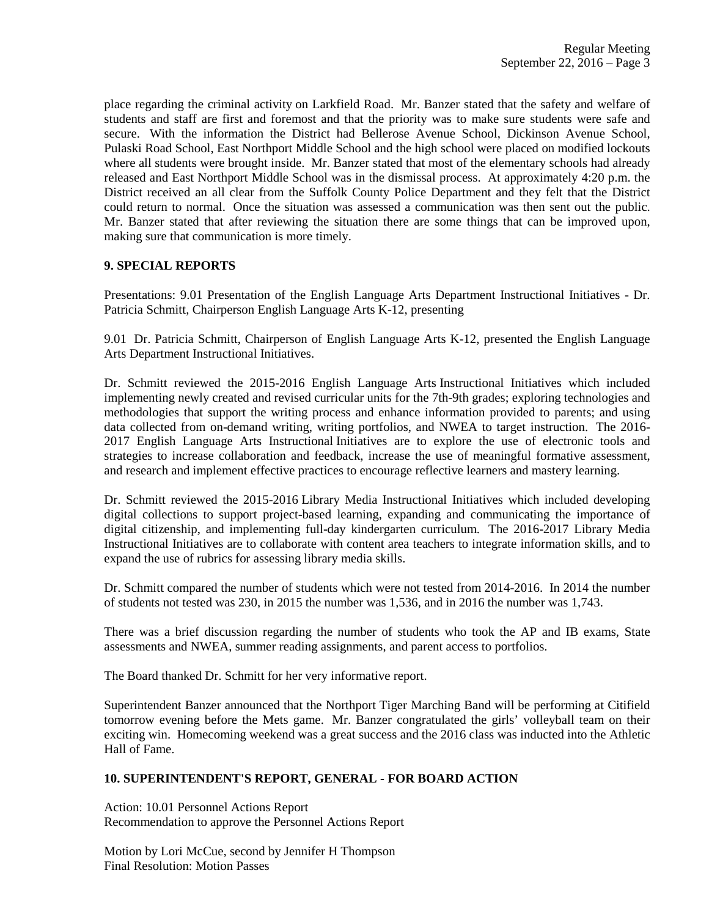place regarding the criminal activity on Larkfield Road. Mr. Banzer stated that the safety and welfare of students and staff are first and foremost and that the priority was to make sure students were safe and secure. With the information the District had Bellerose Avenue School, Dickinson Avenue School, Pulaski Road School, East Northport Middle School and the high school were placed on modified lockouts where all students were brought inside. Mr. Banzer stated that most of the elementary schools had already released and East Northport Middle School was in the dismissal process. At approximately 4:20 p.m. the District received an all clear from the Suffolk County Police Department and they felt that the District could return to normal. Once the situation was assessed a communication was then sent out the public. Mr. Banzer stated that after reviewing the situation there are some things that can be improved upon, making sure that communication is more timely.

# **9. SPECIAL REPORTS**

Presentations: 9.01 Presentation of the English Language Arts Department Instructional Initiatives - Dr. Patricia Schmitt, Chairperson English Language Arts K-12, presenting

9.01 Dr. Patricia Schmitt, Chairperson of English Language Arts K-12, presented the English Language Arts Department Instructional Initiatives.

Dr. Schmitt reviewed the 2015-2016 English Language Arts Instructional Initiatives which included implementing newly created and revised curricular units for the 7th-9th grades; exploring technologies and methodologies that support the writing process and enhance information provided to parents; and using data collected from on-demand writing, writing portfolios, and NWEA to target instruction. The 2016- 2017 English Language Arts Instructional Initiatives are to explore the use of electronic tools and strategies to increase collaboration and feedback, increase the use of meaningful formative assessment, and research and implement effective practices to encourage reflective learners and mastery learning.

Dr. Schmitt reviewed the 2015-2016 Library Media Instructional Initiatives which included developing digital collections to support project-based learning, expanding and communicating the importance of digital citizenship, and implementing full-day kindergarten curriculum. The 2016-2017 Library Media Instructional Initiatives are to collaborate with content area teachers to integrate information skills, and to expand the use of rubrics for assessing library media skills.

Dr. Schmitt compared the number of students which were not tested from 2014-2016. In 2014 the number of students not tested was 230, in 2015 the number was 1,536, and in 2016 the number was 1,743.

There was a brief discussion regarding the number of students who took the AP and IB exams, State assessments and NWEA, summer reading assignments, and parent access to portfolios.

The Board thanked Dr. Schmitt for her very informative report.

Superintendent Banzer announced that the Northport Tiger Marching Band will be performing at Citifield tomorrow evening before the Mets game. Mr. Banzer congratulated the girls' volleyball team on their exciting win. Homecoming weekend was a great success and the 2016 class was inducted into the Athletic Hall of Fame.

## **10. SUPERINTENDENT'S REPORT, GENERAL - FOR BOARD ACTION**

Action: 10.01 Personnel Actions Report Recommendation to approve the Personnel Actions Report

Motion by Lori McCue, second by Jennifer H Thompson Final Resolution: Motion Passes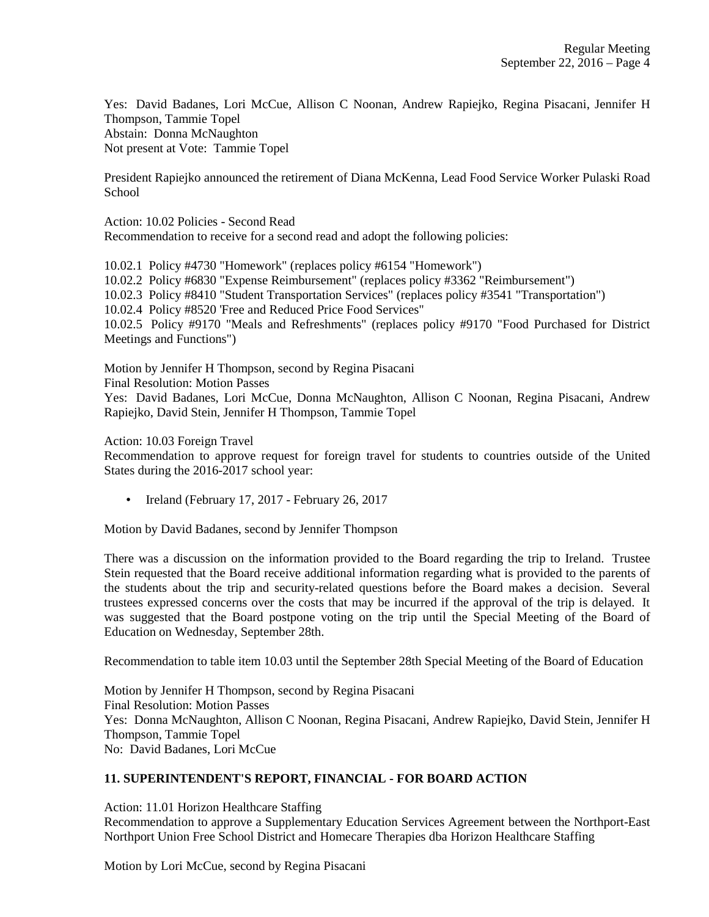Yes: David Badanes, Lori McCue, Allison C Noonan, Andrew Rapiejko, Regina Pisacani, Jennifer H Thompson, Tammie Topel Abstain: Donna McNaughton Not present at Vote: Tammie Topel

President Rapiejko announced the retirement of Diana McKenna, Lead Food Service Worker Pulaski Road **School** 

Action: 10.02 Policies - Second Read Recommendation to receive for a second read and adopt the following policies:

10.02.1 Policy #4730 "Homework" (replaces policy #6154 "Homework") 10.02.2 Policy #6830 "Expense Reimbursement" (replaces policy #3362 "Reimbursement") 10.02.3 Policy #8410 "Student Transportation Services" (replaces policy #3541 "Transportation") 10.02.4 Policy #8520 'Free and Reduced Price Food Services" 10.02.5 Policy #9170 "Meals and Refreshments" (replaces policy #9170 "Food Purchased for District Meetings and Functions")

Motion by Jennifer H Thompson, second by Regina Pisacani

Final Resolution: Motion Passes

Yes: David Badanes, Lori McCue, Donna McNaughton, Allison C Noonan, Regina Pisacani, Andrew Rapiejko, David Stein, Jennifer H Thompson, Tammie Topel

Action: 10.03 Foreign Travel

Recommendation to approve request for foreign travel for students to countries outside of the United States during the 2016-2017 school year:

• Ireland (February 17, 2017 - February 26, 2017

Motion by David Badanes, second by Jennifer Thompson

There was a discussion on the information provided to the Board regarding the trip to Ireland. Trustee Stein requested that the Board receive additional information regarding what is provided to the parents of the students about the trip and security-related questions before the Board makes a decision. Several trustees expressed concerns over the costs that may be incurred if the approval of the trip is delayed. It was suggested that the Board postpone voting on the trip until the Special Meeting of the Board of Education on Wednesday, September 28th.

Recommendation to table item 10.03 until the September 28th Special Meeting of the Board of Education

Motion by Jennifer H Thompson, second by Regina Pisacani Final Resolution: Motion Passes Yes: Donna McNaughton, Allison C Noonan, Regina Pisacani, Andrew Rapiejko, David Stein, Jennifer H Thompson, Tammie Topel No: David Badanes, Lori McCue

# **11. SUPERINTENDENT'S REPORT, FINANCIAL - FOR BOARD ACTION**

Action: 11.01 Horizon Healthcare Staffing Recommendation to approve a Supplementary Education Services Agreement between the Northport-East Northport Union Free School District and Homecare Therapies dba Horizon Healthcare Staffing

Motion by Lori McCue, second by Regina Pisacani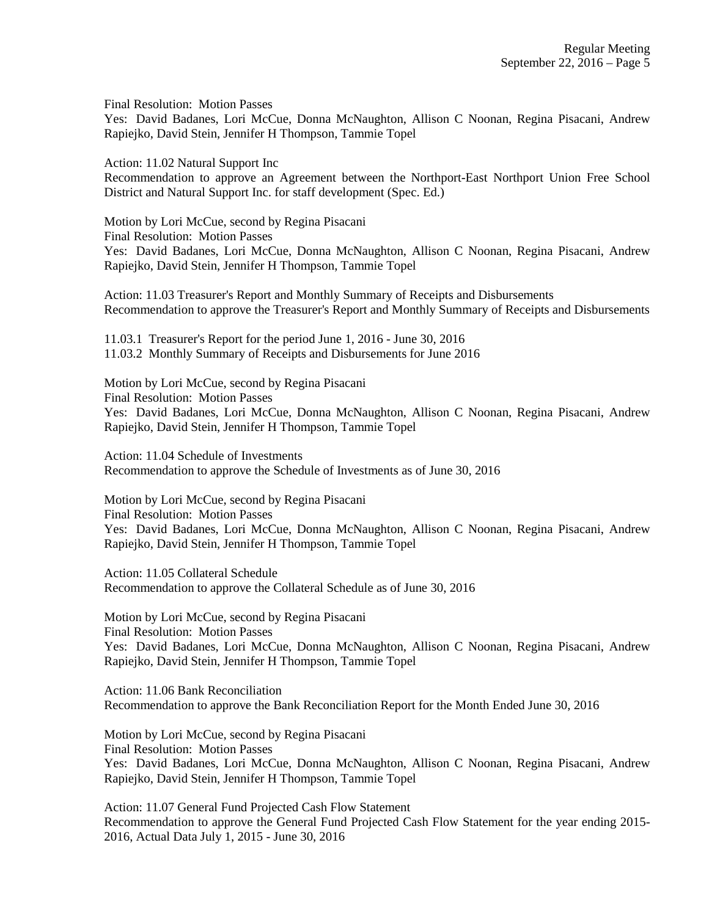Final Resolution: Motion Passes

Yes: David Badanes, Lori McCue, Donna McNaughton, Allison C Noonan, Regina Pisacani, Andrew Rapiejko, David Stein, Jennifer H Thompson, Tammie Topel

Action: 11.02 Natural Support Inc

Recommendation to approve an Agreement between the Northport-East Northport Union Free School District and Natural Support Inc. for staff development (Spec. Ed.)

Motion by Lori McCue, second by Regina Pisacani Final Resolution: Motion Passes Yes: David Badanes, Lori McCue, Donna McNaughton, Allison C Noonan, Regina Pisacani, Andrew Rapiejko, David Stein, Jennifer H Thompson, Tammie Topel

Action: 11.03 Treasurer's Report and Monthly Summary of Receipts and Disbursements Recommendation to approve the Treasurer's Report and Monthly Summary of Receipts and Disbursements

11.03.1 Treasurer's Report for the period June 1, 2016 - June 30, 2016 11.03.2 Monthly Summary of Receipts and Disbursements for June 2016

Motion by Lori McCue, second by Regina Pisacani Final Resolution: Motion Passes Yes: David Badanes, Lori McCue, Donna McNaughton, Allison C Noonan, Regina Pisacani, Andrew Rapiejko, David Stein, Jennifer H Thompson, Tammie Topel

Action: 11.04 Schedule of Investments Recommendation to approve the Schedule of Investments as of June 30, 2016

Motion by Lori McCue, second by Regina Pisacani Final Resolution: Motion Passes Yes: David Badanes, Lori McCue, Donna McNaughton, Allison C Noonan, Regina Pisacani, Andrew Rapiejko, David Stein, Jennifer H Thompson, Tammie Topel

Action: 11.05 Collateral Schedule Recommendation to approve the Collateral Schedule as of June 30, 2016

Motion by Lori McCue, second by Regina Pisacani Final Resolution: Motion Passes Yes: David Badanes, Lori McCue, Donna McNaughton, Allison C Noonan, Regina Pisacani, Andrew Rapiejko, David Stein, Jennifer H Thompson, Tammie Topel

Action: 11.06 Bank Reconciliation Recommendation to approve the Bank Reconciliation Report for the Month Ended June 30, 2016

Motion by Lori McCue, second by Regina Pisacani Final Resolution: Motion Passes Yes: David Badanes, Lori McCue, Donna McNaughton, Allison C Noonan, Regina Pisacani, Andrew Rapiejko, David Stein, Jennifer H Thompson, Tammie Topel

Action: 11.07 General Fund Projected Cash Flow Statement Recommendation to approve the General Fund Projected Cash Flow Statement for the year ending 2015- 2016, Actual Data July 1, 2015 - June 30, 2016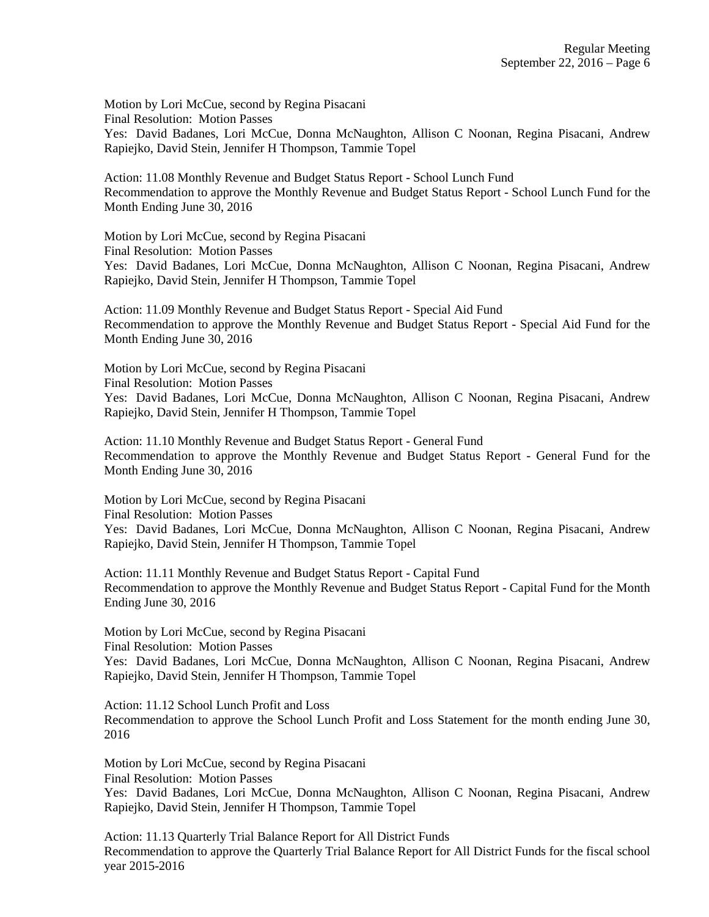Motion by Lori McCue, second by Regina Pisacani Final Resolution: Motion Passes Yes: David Badanes, Lori McCue, Donna McNaughton, Allison C Noonan, Regina Pisacani, Andrew Rapiejko, David Stein, Jennifer H Thompson, Tammie Topel

Action: 11.08 Monthly Revenue and Budget Status Report - School Lunch Fund Recommendation to approve the Monthly Revenue and Budget Status Report - School Lunch Fund for the Month Ending June 30, 2016

Motion by Lori McCue, second by Regina Pisacani Final Resolution: Motion Passes Yes: David Badanes, Lori McCue, Donna McNaughton, Allison C Noonan, Regina Pisacani, Andrew Rapiejko, David Stein, Jennifer H Thompson, Tammie Topel

Action: 11.09 Monthly Revenue and Budget Status Report - Special Aid Fund Recommendation to approve the Monthly Revenue and Budget Status Report - Special Aid Fund for the Month Ending June 30, 2016

Motion by Lori McCue, second by Regina Pisacani Final Resolution: Motion Passes Yes: David Badanes, Lori McCue, Donna McNaughton, Allison C Noonan, Regina Pisacani, Andrew Rapiejko, David Stein, Jennifer H Thompson, Tammie Topel

Action: 11.10 Monthly Revenue and Budget Status Report - General Fund Recommendation to approve the Monthly Revenue and Budget Status Report - General Fund for the Month Ending June 30, 2016

Motion by Lori McCue, second by Regina Pisacani Final Resolution: Motion Passes Yes: David Badanes, Lori McCue, Donna McNaughton, Allison C Noonan, Regina Pisacani, Andrew Rapiejko, David Stein, Jennifer H Thompson, Tammie Topel

Action: 11.11 Monthly Revenue and Budget Status Report - Capital Fund Recommendation to approve the Monthly Revenue and Budget Status Report - Capital Fund for the Month Ending June 30, 2016

Motion by Lori McCue, second by Regina Pisacani Final Resolution: Motion Passes

Yes: David Badanes, Lori McCue, Donna McNaughton, Allison C Noonan, Regina Pisacani, Andrew Rapiejko, David Stein, Jennifer H Thompson, Tammie Topel

Action: 11.12 School Lunch Profit and Loss Recommendation to approve the School Lunch Profit and Loss Statement for the month ending June 30, 2016

Motion by Lori McCue, second by Regina Pisacani Final Resolution: Motion Passes Yes: David Badanes, Lori McCue, Donna McNaughton, Allison C Noonan, Regina Pisacani, Andrew Rapiejko, David Stein, Jennifer H Thompson, Tammie Topel

Action: 11.13 Quarterly Trial Balance Report for All District Funds Recommendation to approve the Quarterly Trial Balance Report for All District Funds for the fiscal school year 2015-2016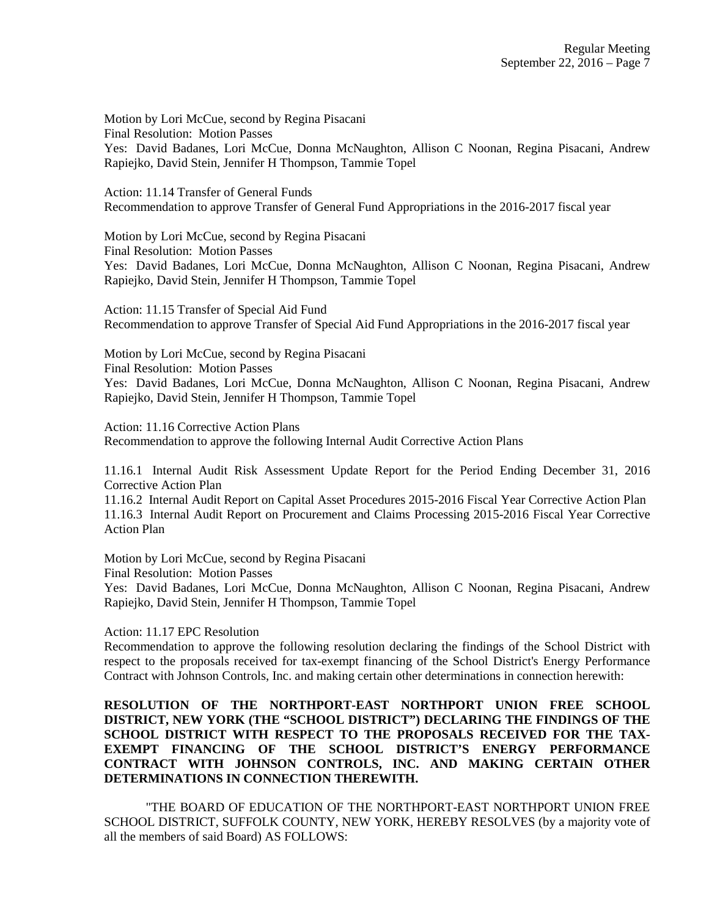Motion by Lori McCue, second by Regina Pisacani Final Resolution: Motion Passes Yes: David Badanes, Lori McCue, Donna McNaughton, Allison C Noonan, Regina Pisacani, Andrew Rapiejko, David Stein, Jennifer H Thompson, Tammie Topel

Action: 11.14 Transfer of General Funds Recommendation to approve Transfer of General Fund Appropriations in the 2016-2017 fiscal year

Motion by Lori McCue, second by Regina Pisacani

Final Resolution: Motion Passes

Yes: David Badanes, Lori McCue, Donna McNaughton, Allison C Noonan, Regina Pisacani, Andrew Rapiejko, David Stein, Jennifer H Thompson, Tammie Topel

Action: 11.15 Transfer of Special Aid Fund Recommendation to approve Transfer of Special Aid Fund Appropriations in the 2016-2017 fiscal year

Motion by Lori McCue, second by Regina Pisacani Final Resolution: Motion Passes Yes: David Badanes, Lori McCue, Donna McNaughton, Allison C Noonan, Regina Pisacani, Andrew Rapiejko, David Stein, Jennifer H Thompson, Tammie Topel

Action: 11.16 Corrective Action Plans Recommendation to approve the following Internal Audit Corrective Action Plans

11.16.1 Internal Audit Risk Assessment Update Report for the Period Ending December 31, 2016 Corrective Action Plan

11.16.2 Internal Audit Report on Capital Asset Procedures 2015-2016 Fiscal Year Corrective Action Plan 11.16.3 Internal Audit Report on Procurement and Claims Processing 2015-2016 Fiscal Year Corrective Action Plan

Motion by Lori McCue, second by Regina Pisacani

Final Resolution: Motion Passes

Yes: David Badanes, Lori McCue, Donna McNaughton, Allison C Noonan, Regina Pisacani, Andrew Rapiejko, David Stein, Jennifer H Thompson, Tammie Topel

Action: 11.17 EPC Resolution

Recommendation to approve the following resolution declaring the findings of the School District with respect to the proposals received for tax-exempt financing of the School District's Energy Performance Contract with Johnson Controls, Inc. and making certain other determinations in connection herewith:

**RESOLUTION OF THE NORTHPORT-EAST NORTHPORT UNION FREE SCHOOL DISTRICT, NEW YORK (THE "SCHOOL DISTRICT") DECLARING THE FINDINGS OF THE SCHOOL DISTRICT WITH RESPECT TO THE PROPOSALS RECEIVED FOR THE TAX-EXEMPT FINANCING OF THE SCHOOL DISTRICT'S ENERGY PERFORMANCE CONTRACT WITH JOHNSON CONTROLS, INC. AND MAKING CERTAIN OTHER DETERMINATIONS IN CONNECTION THEREWITH.**

"THE BOARD OF EDUCATION OF THE NORTHPORT-EAST NORTHPORT UNION FREE SCHOOL DISTRICT, SUFFOLK COUNTY, NEW YORK, HEREBY RESOLVES (by a majority vote of all the members of said Board) AS FOLLOWS: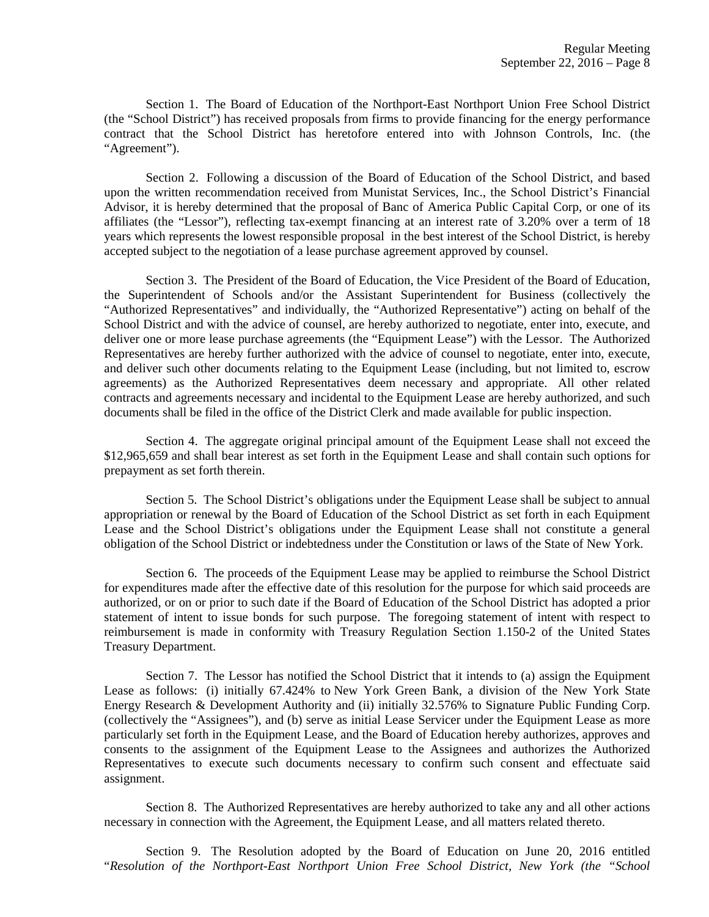Section 1. The Board of Education of the Northport-East Northport Union Free School District (the "School District") has received proposals from firms to provide financing for the energy performance contract that the School District has heretofore entered into with Johnson Controls, Inc. (the "Agreement").

Section 2. Following a discussion of the Board of Education of the School District, and based upon the written recommendation received from Munistat Services, Inc., the School District's Financial Advisor, it is hereby determined that the proposal of Banc of America Public Capital Corp, or one of its affiliates (the "Lessor"), reflecting tax-exempt financing at an interest rate of 3.20% over a term of 18 years which represents the lowest responsible proposal in the best interest of the School District, is hereby accepted subject to the negotiation of a lease purchase agreement approved by counsel.

Section 3. The President of the Board of Education, the Vice President of the Board of Education, the Superintendent of Schools and/or the Assistant Superintendent for Business (collectively the "Authorized Representatives" and individually, the "Authorized Representative") acting on behalf of the School District and with the advice of counsel, are hereby authorized to negotiate, enter into, execute, and deliver one or more lease purchase agreements (the "Equipment Lease") with the Lessor. The Authorized Representatives are hereby further authorized with the advice of counsel to negotiate, enter into, execute, and deliver such other documents relating to the Equipment Lease (including, but not limited to, escrow agreements) as the Authorized Representatives deem necessary and appropriate. All other related contracts and agreements necessary and incidental to the Equipment Lease are hereby authorized, and such documents shall be filed in the office of the District Clerk and made available for public inspection.

Section 4. The aggregate original principal amount of the Equipment Lease shall not exceed the \$12,965,659 and shall bear interest as set forth in the Equipment Lease and shall contain such options for prepayment as set forth therein.

Section 5. The School District's obligations under the Equipment Lease shall be subject to annual appropriation or renewal by the Board of Education of the School District as set forth in each Equipment Lease and the School District's obligations under the Equipment Lease shall not constitute a general obligation of the School District or indebtedness under the Constitution or laws of the State of New York.

Section 6. The proceeds of the Equipment Lease may be applied to reimburse the School District for expenditures made after the effective date of this resolution for the purpose for which said proceeds are authorized, or on or prior to such date if the Board of Education of the School District has adopted a prior statement of intent to issue bonds for such purpose. The foregoing statement of intent with respect to reimbursement is made in conformity with Treasury Regulation Section 1.150-2 of the United States Treasury Department.

Section 7. The Lessor has notified the School District that it intends to (a) assign the Equipment Lease as follows: (i) initially 67.424% to New York Green Bank, a division of the New York State Energy Research & Development Authority and (ii) initially 32.576% to Signature Public Funding Corp. (collectively the "Assignees"), and (b) serve as initial Lease Servicer under the Equipment Lease as more particularly set forth in the Equipment Lease, and the Board of Education hereby authorizes, approves and consents to the assignment of the Equipment Lease to the Assignees and authorizes the Authorized Representatives to execute such documents necessary to confirm such consent and effectuate said assignment.

Section 8. The Authorized Representatives are hereby authorized to take any and all other actions necessary in connection with the Agreement, the Equipment Lease, and all matters related thereto.

Section 9. The Resolution adopted by the Board of Education on June 20, 2016 entitled "*Resolution of the Northport-East Northport Union Free School District, New York (the "School*